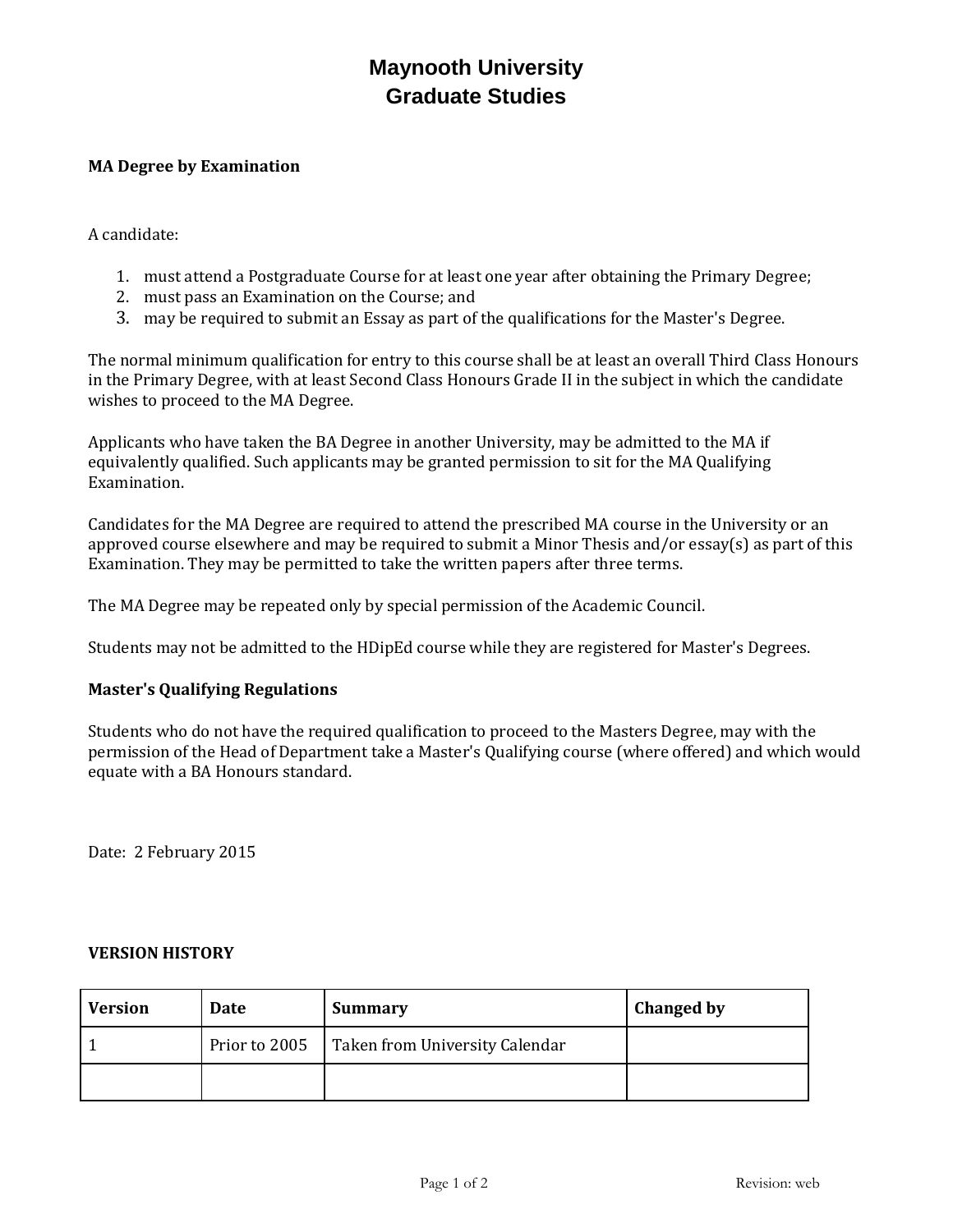## **Maynooth University Graduate Studies**

## **MA Degree by Examination**

A candidate:

- 1. must attend a Postgraduate Course for at least one year after obtaining the Primary Degree;
- 2. must pass an Examination on the Course; and
- 3. may be required to submit an Essay as part of the qualifications for the Master's Degree.

The normal minimum qualification for entry to this course shall be at least an overall Third Class Honours in the Primary Degree, with at least Second Class Honours Grade II in the subject in which the candidate wishes to proceed to the MA Degree.

Applicants who have taken the BA Degree in another University, may be admitted to the MA if equivalently qualified. Such applicants may be granted permission to sit for the MA Qualifying Examination.

Candidates for the MA Degree are required to attend the prescribed MA course in the University or an approved course elsewhere and may be required to submit a Minor Thesis and/or essay(s) as part of this Examination. They may be permitted to take the written papers after three terms.

The MA Degree may be repeated only by special permission of the Academic Council.

Students may not be admitted to the HDipEd course while they are registered for Master's Degrees.

## **Master's Qualifying Regulations**

Students who do not have the required qualification to proceed to the Masters Degree, may with the permission of the Head of Department take a Master's Qualifying course (where offered) and which would equate with a BA Honours standard.

Date: 2 February 2015

## **VERSION HISTORY**

| <b>Version</b> | Date          | <b>Summary</b>                 | <b>Changed by</b> |
|----------------|---------------|--------------------------------|-------------------|
|                | Prior to 2005 | Taken from University Calendar |                   |
|                |               |                                |                   |